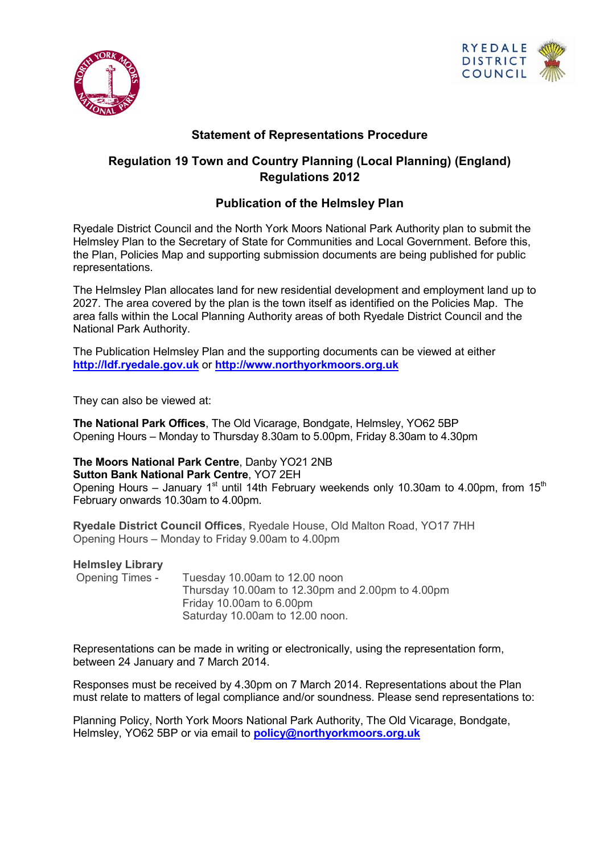



## **Statement of Representations Procedure**

## **Regulation 19 Town and Country Planning (Local Planning) (England) Regulations 2012**

## **Publication of the Helmsley Plan**

Ryedale District Council and the North York Moors National Park Authority plan to submit the Helmsley Plan to the Secretary of State for Communities and Local Government. Before this, the Plan, Policies Map and supporting submission documents are being published for public representations.

The Helmsley Plan allocates land for new residential development and employment land up to 2027. The area covered by the plan is the town itself as identified on the Policies Map. The area falls within the Local Planning Authority areas of both Ryedale District Council and the National Park Authority.

The Publication Helmsley Plan and the supporting documents can be viewed at either **[http://ldf.ryedale.gov.uk](http://ldf.ryedale.gov.uk/)** or **[http://www.northyorkmoors.org.uk](http://www.northyorkmoors.org.uk/)**

They can also be viewed at:

**The National Park Offices**, The Old Vicarage, Bondgate, Helmsley, YO62 5BP Opening Hours – Monday to Thursday 8.30am to 5.00pm, Friday 8.30am to 4.30pm

**The Moors National Park Centre**, Danby YO21 2NB **Sutton Bank National Park Centre**, YO7 2EH

Opening Hours – January 1<sup>st</sup> until 14th February weekends only 10.30am to 4.00pm, from 15<sup>th</sup> February onwards 10.30am to 4.00pm.

**Ryedale District Council Offices**, Ryedale House, Old Malton Road, YO17 7HH Opening Hours – Monday to Friday 9.00am to 4.00pm

**Helmsley Library**

Opening Times - Tuesday 10.00am to 12.00 noon Thursday 10.00am to 12.30pm and 2.00pm to 4.00pm Friday 10.00am to 6.00pm Saturday 10.00am to 12.00 noon.

Representations can be made in writing or electronically, using the representation form, between 24 January and 7 March 2014.

Responses must be received by 4.30pm on 7 March 2014. Representations about the Plan must relate to matters of legal compliance and/or soundness. Please send representations to:

Planning Policy, North York Moors National Park Authority, The Old Vicarage, Bondgate, Helmsley, YO62 5BP or via email to **[policy@northyorkmoors.org.uk](mailto:policy@northyorkmoors.org.uk)**